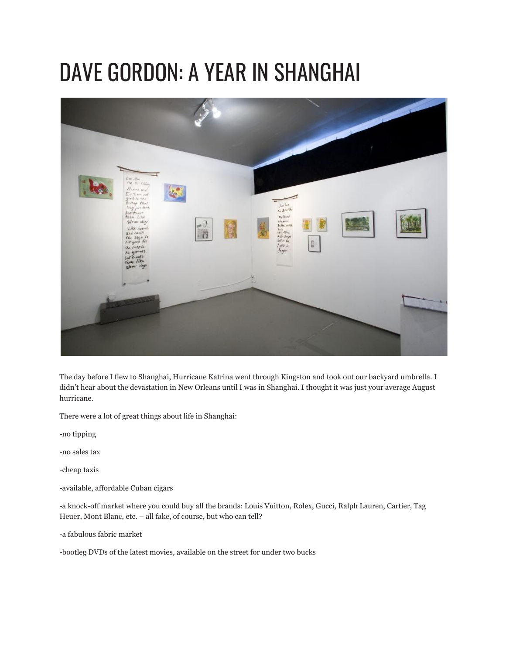## DAVE GORDON: A YEAR IN SHANGHAI



The day before I flew to Shanghai, Hurricane Katrina went through Kingston and took out our backyard umbrella. I didn't hear about the devastation in New Orleans until I was in Shanghai. I thought it was just your average August hurricane.

There were a lot of great things about life in Shanghai:

-no tipping

-no sales tax

-cheap taxis

-available, affordable Cuban cigars

-a knock-off market where you could buy all the brands: Louis Vuitton, Rolex, Gucci, Ralph Lauren, Cartier, Tag Heuer, Mont Blanc, etc. – all fake, of course, but who can tell?

-a fabulous fabric market

-bootleg DVDs of the latest movies, available on the street for under two bucks